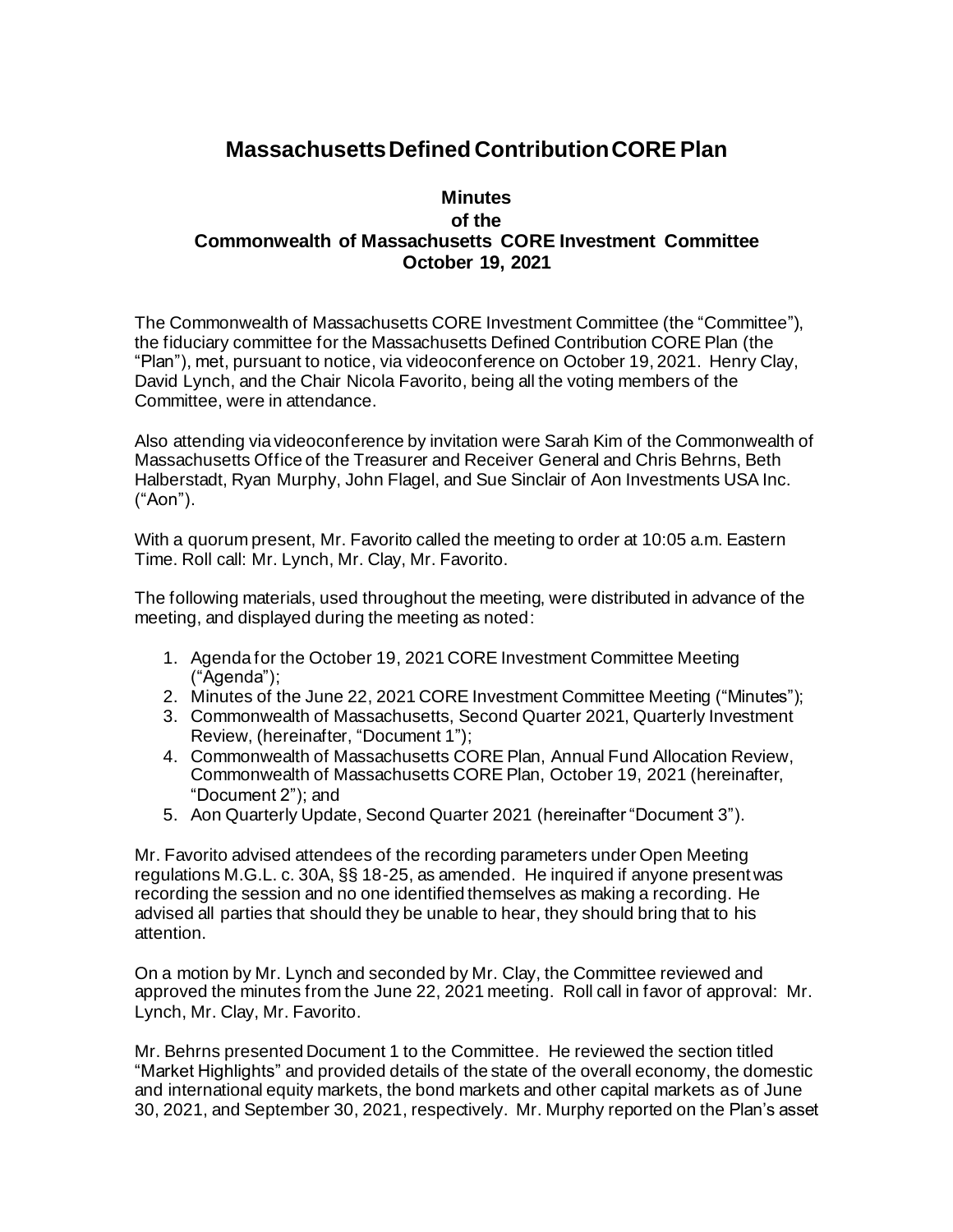## **Massachusetts Defined Contribution CORE Plan**

## **Minutes of the Commonwealth of Massachusetts CORE Investment Committee October 19, 2021**

The Commonwealth of Massachusetts CORE Investment Committee (the "Committee"), the fiduciary committee for the Massachusetts Defined Contribution CORE Plan (the "Plan"), met, pursuant to notice, via videoconference on October 19, 2021. Henry Clay, David Lynch, and the Chair Nicola Favorito, being all the voting members of the Committee, were in attendance.

Also attending via videoconference by invitation were Sarah Kim of the Commonwealth of Massachusetts Office of the Treasurer and Receiver General and Chris Behrns, Beth Halberstadt, Ryan Murphy, John Flagel, and Sue Sinclair of Aon Investments USA Inc. ("Aon").

With a quorum present, Mr. Favorito called the meeting to order at 10:05 a.m. Eastern Time. Roll call: Mr. Lynch, Mr. Clay, Mr. Favorito.

The following materials, used throughout the meeting, were distributed in advance of the meeting, and displayed during the meeting as noted:

- 1. Agenda for the October 19, 2021 CORE Investment Committee Meeting ("Agenda");
- 2. Minutes of the June 22, 2021 CORE Investment Committee Meeting ("Minutes");
- 3. Commonwealth of Massachusetts, Second Quarter 2021, Quarterly Investment Review, (hereinafter, "Document 1");
- 4. Commonwealth of Massachusetts CORE Plan, Annual Fund Allocation Review, Commonwealth of Massachusetts CORE Plan, October 19, 2021 (hereinafter, "Document 2"); and
- 5. Aon Quarterly Update, Second Quarter 2021 (hereinafter "Document 3").

Mr. Favorito advised attendees of the recording parameters under Open Meeting regulations M.G.L. c. 30A, §§ 18-25, as amended. He inquired if anyone present was recording the session and no one identified themselves as making a recording. He advised all parties that should they be unable to hear, they should bring that to his attention.

On a motion by Mr. Lynch and seconded by Mr. Clay, the Committee reviewed and approved the minutes from the June 22, 2021 meeting. Roll call in favor of approval: Mr. Lynch, Mr. Clay, Mr. Favorito.

Mr. Behrns presented Document 1 to the Committee. He reviewed the section titled "Market Highlights" and provided details of the state of the overall economy, the domestic and international equity markets, the bond markets and other capital markets as of June 30, 2021, and September 30, 2021, respectively. Mr. Murphy reported on the Plan's asset